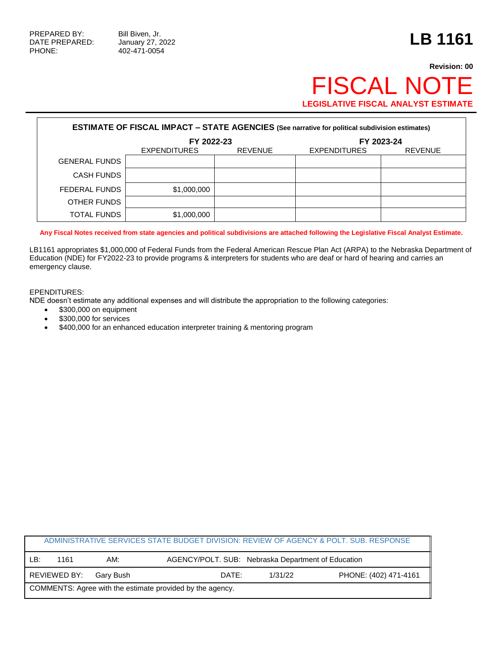PHONE: 402-471-0054

## **Revision: 00** FISCAL NOTE **LEGISLATIVE FISCAL ANALYST ESTIMATE**

| <b>ESTIMATE OF FISCAL IMPACT - STATE AGENCIES (See narrative for political subdivision estimates)</b> |                     |                |                     |                |  |
|-------------------------------------------------------------------------------------------------------|---------------------|----------------|---------------------|----------------|--|
|                                                                                                       | FY 2022-23          |                | FY 2023-24          |                |  |
|                                                                                                       | <b>EXPENDITURES</b> | <b>REVENUE</b> | <b>EXPENDITURES</b> | <b>REVENUE</b> |  |
| <b>GENERAL FUNDS</b>                                                                                  |                     |                |                     |                |  |
| <b>CASH FUNDS</b>                                                                                     |                     |                |                     |                |  |
| FEDERAL FUNDS                                                                                         | \$1,000,000         |                |                     |                |  |
| OTHER FUNDS                                                                                           |                     |                |                     |                |  |
| TOTAL FUNDS                                                                                           | \$1,000,000         |                |                     |                |  |

**Any Fiscal Notes received from state agencies and political subdivisions are attached following the Legislative Fiscal Analyst Estimate.**

LB1161 appropriates \$1,000,000 of Federal Funds from the Federal American Rescue Plan Act (ARPA) to the Nebraska Department of Education (NDE) for FY2022-23 to provide programs & interpreters for students who are deaf or hard of hearing and carries an emergency clause.

## EPENDITURES:

NDE doesn't estimate any additional expenses and will distribute the appropriation to the following categories:

- \$300,000 on equipment
- $\bullet$  \$300,000 for services
- \$400,000 for an enhanced education interpreter training & mentoring program

|                                                           |              |           | ADMINISTRATIVE SERVICES STATE BUDGET DIVISION: REVIEW OF AGENCY & POLT. SUB. RESPONSE |         |                       |  |
|-----------------------------------------------------------|--------------|-----------|---------------------------------------------------------------------------------------|---------|-----------------------|--|
| LB:                                                       | 1161         | AM:       | AGENCY/POLT. SUB: Nebraska Department of Education                                    |         |                       |  |
|                                                           | REVIEWED BY: | Garv Bush | DATE:                                                                                 | 1/31/22 | PHONE: (402) 471-4161 |  |
| COMMENTS: Agree with the estimate provided by the agency. |              |           |                                                                                       |         |                       |  |